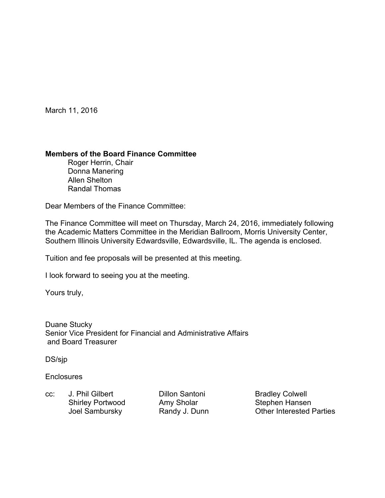March 11, 2016

## **Members of the Board Finance Committee**

 Roger Herrin, Chair Donna Manering Allen Shelton Randal Thomas

Dear Members of the Finance Committee:

The Finance Committee will meet on Thursday, March 24, 2016, immediately following the Academic Matters Committee in the Meridian Ballroom, Morris University Center, Southern Illinois University Edwardsville, Edwardsville, IL. The agenda is enclosed.

Tuition and fee proposals will be presented at this meeting.

I look forward to seeing you at the meeting.

Yours truly,

Duane Stucky Senior Vice President for Financial and Administrative Affairs and Board Treasurer

DS/sjp

**Enclosures** 

cc: J. Phil Gilbert Dillon Santoni Bradley Colwell Shirley Portwood Amy Sholar Stephen Hansen

Joel Sambursky **Randy J. Dunn** Other Interested Parties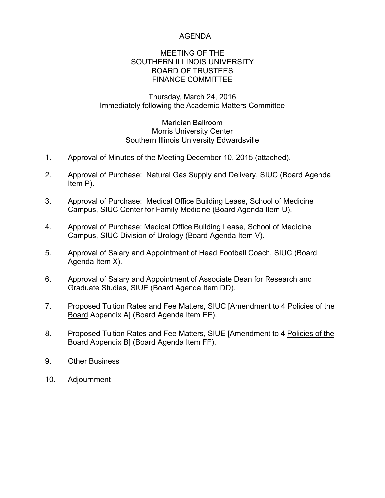# AGENDA

### MEETING OF THE SOUTHERN ILLINOIS UNIVERSITY BOARD OF TRUSTEES FINANCE COMMITTEE

## Thursday, March 24, 2016 Immediately following the Academic Matters Committee

### Meridian Ballroom Morris University Center Southern Illinois University Edwardsville

- 1. Approval of Minutes of the Meeting December 10, 2015 (attached).
- 2. Approval of Purchase: Natural Gas Supply and Delivery, SIUC (Board Agenda Item P).
- 3. Approval of Purchase: Medical Office Building Lease, School of Medicine Campus, SIUC Center for Family Medicine (Board Agenda Item U).
- 4. Approval of Purchase: Medical Office Building Lease, School of Medicine Campus, SIUC Division of Urology (Board Agenda Item V).
- 5. Approval of Salary and Appointment of Head Football Coach, SIUC (Board Agenda Item X).
- 6. Approval of Salary and Appointment of Associate Dean for Research and Graduate Studies, SIUE (Board Agenda Item DD).
- 7. Proposed Tuition Rates and Fee Matters, SIUC [Amendment to 4 Policies of the Board Appendix A] (Board Agenda Item EE).
- 8. Proposed Tuition Rates and Fee Matters, SIUE [Amendment to 4 Policies of the Board Appendix B] (Board Agenda Item FF).
- 9. Other Business
- 10. Adjournment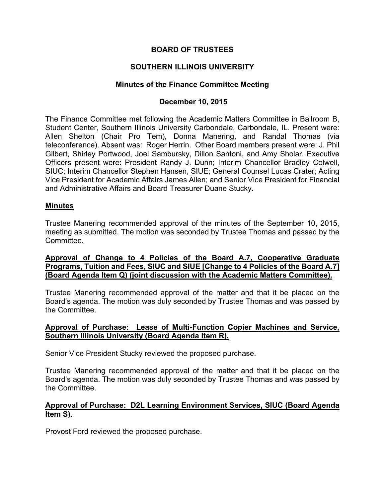# **BOARD OF TRUSTEES**

# **SOUTHERN ILLINOIS UNIVERSITY**

### **Minutes of the Finance Committee Meeting**

### **December 10, 2015**

The Finance Committee met following the Academic Matters Committee in Ballroom B, Student Center, Southern Illinois University Carbondale, Carbondale, IL. Present were: Allen Shelton (Chair Pro Tem), Donna Manering, and Randal Thomas (via teleconference). Absent was: Roger Herrin. Other Board members present were: J. Phil Gilbert, Shirley Portwood, Joel Sambursky, Dillon Santoni, and Amy Sholar. Executive Officers present were: President Randy J. Dunn; Interim Chancellor Bradley Colwell, SIUC; Interim Chancellor Stephen Hansen, SIUE; General Counsel Lucas Crater; Acting Vice President for Academic Affairs James Allen; and Senior Vice President for Financial and Administrative Affairs and Board Treasurer Duane Stucky.

#### **Minutes**

Trustee Manering recommended approval of the minutes of the September 10, 2015, meeting as submitted. The motion was seconded by Trustee Thomas and passed by the Committee.

### **Approval of Change to 4 Policies of the Board A.7, Cooperative Graduate Programs, Tuition and Fees, SIUC and SIUE [Change to 4 Policies of the Board A.7] (Board Agenda Item Q) (joint discussion with the Academic Matters Committee).**

Trustee Manering recommended approval of the matter and that it be placed on the Board's agenda. The motion was duly seconded by Trustee Thomas and was passed by the Committee.

### **Approval of Purchase: Lease of Multi-Function Copier Machines and Service, Southern Illinois University (Board Agenda Item R).**

Senior Vice President Stucky reviewed the proposed purchase.

Trustee Manering recommended approval of the matter and that it be placed on the Board's agenda. The motion was duly seconded by Trustee Thomas and was passed by the Committee.

# **Approval of Purchase: D2L Learning Environment Services, SIUC (Board Agenda Item S).**

Provost Ford reviewed the proposed purchase.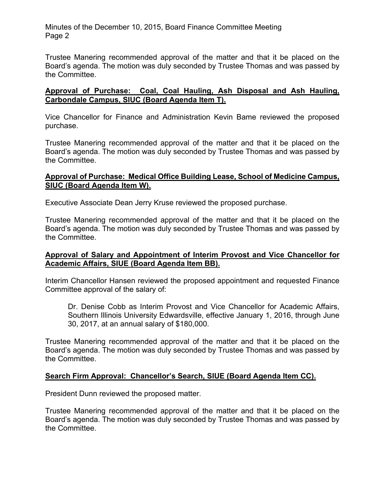Minutes of the December 10, 2015, Board Finance Committee Meeting Page 2

Trustee Manering recommended approval of the matter and that it be placed on the Board's agenda. The motion was duly seconded by Trustee Thomas and was passed by the Committee.

# **Approval of Purchase: Coal, Coal Hauling, Ash Disposal and Ash Hauling, Carbondale Campus, SIUC (Board Agenda Item T).**

Vice Chancellor for Finance and Administration Kevin Bame reviewed the proposed purchase.

Trustee Manering recommended approval of the matter and that it be placed on the Board's agenda. The motion was duly seconded by Trustee Thomas and was passed by the Committee.

### **Approval of Purchase: Medical Office Building Lease, School of Medicine Campus, SIUC (Board Agenda Item W).**

Executive Associate Dean Jerry Kruse reviewed the proposed purchase.

Trustee Manering recommended approval of the matter and that it be placed on the Board's agenda. The motion was duly seconded by Trustee Thomas and was passed by the Committee.

## **Approval of Salary and Appointment of Interim Provost and Vice Chancellor for Academic Affairs, SIUE (Board Agenda Item BB).**

Interim Chancellor Hansen reviewed the proposed appointment and requested Finance Committee approval of the salary of:

Dr. Denise Cobb as Interim Provost and Vice Chancellor for Academic Affairs, Southern Illinois University Edwardsville, effective January 1, 2016, through June 30, 2017, at an annual salary of \$180,000.

Trustee Manering recommended approval of the matter and that it be placed on the Board's agenda. The motion was duly seconded by Trustee Thomas and was passed by the Committee.

## **Search Firm Approval: Chancellor's Search, SIUE (Board Agenda Item CC).**

President Dunn reviewed the proposed matter.

Trustee Manering recommended approval of the matter and that it be placed on the Board's agenda. The motion was duly seconded by Trustee Thomas and was passed by the Committee.